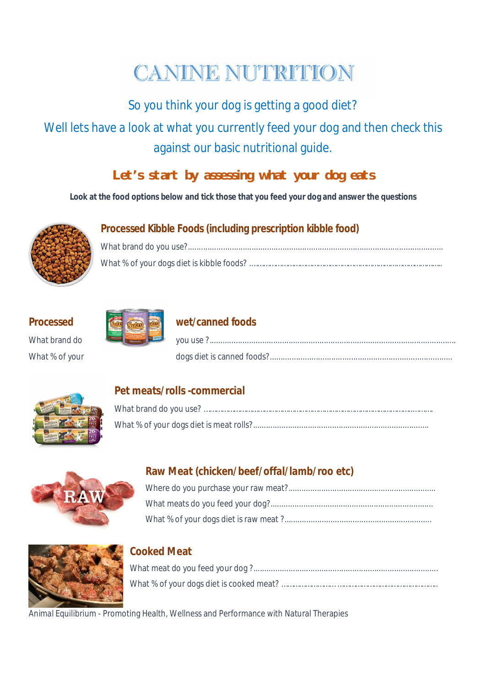# **CANINE NUTRITION**

So you think your dog is getting a good diet?

Well lets have a look at what you currently feed your dog and then check this against our basic nutritional guide.

# *Let's start by assessing what your dog eats*

**Look at the food options below and tick those that you feed your dog and answer the questions**



# **Processed Kibble Foods (including prescription kibble food)**

# What % of your



# **Processed wet/canned foods**

| What brand do  |  |
|----------------|--|
| What % of your |  |



### **Pet meats/rolls -commercial**



# **Raw Meat (chicken/beef/offal/lamb/roo etc)**



# **Cooked Meat**

What meat do you feed your dog ?.................................................................................... What % of your dogs diet is cooked meat? ……………………… …………………………………………..

Animal Equilibrium - Promoting Health, Wellness and Performance with Natural Therapies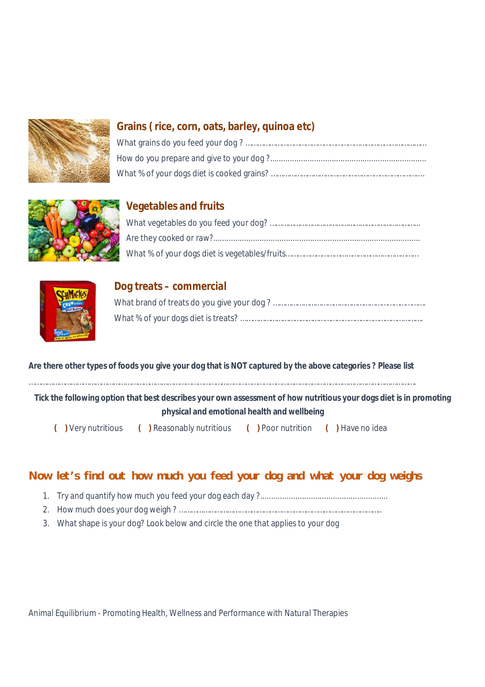

#### **Grains ( rice, corn, oats, barley, quinoa etc)**



#### **Vegetables and fruits**



#### **Dog treats – commercial**

#### **Are there other types of foods you give your dog that is NOT captured by the above categories ? Please list**

………………………………………………………………………………………………………………………………………………………………………….

**Tick the following option that best describes your own assessment of how nutritious your dogs diet is in promoting physical and emotional health and wellbeing**

 **( )** Very nutritious **( )** Reasonably nutritious **( )** Poor nutrition **( )** Have no idea

#### *Now let's find out how much you feed your dog and what your dog weighs*

- 1. Try and quantify how much you feed your dog each day ?..........................................................
- 2. How much does your dog weigh ? ………………………………………………………………………………………..
- 3. What shape is your dog? Look below and circle the one that applies to your dog

Animal Equilibrium - Promoting Health, Wellness and Performance with Natural Therapies